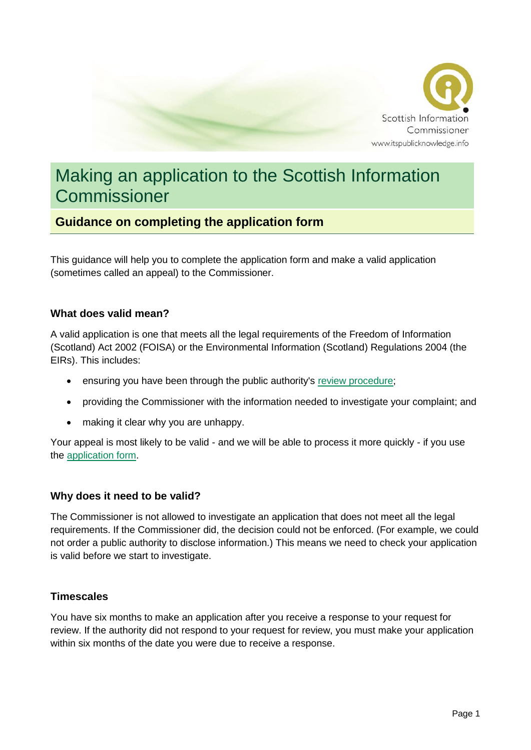

# Making an application to the Scottish Information **Commissioner**

## **Guidance on completing the application form**

This guidance will help you to complete the application form and make a valid application (sometimes called an appeal) to the Commissioner.

#### **What does valid mean?**

A valid application is one that meets all the legal requirements of the Freedom of Information (Scotland) Act 2002 (FOISA) or the Environmental Information (Scotland) Regulations 2004 (the EIRs). This includes:

- ensuring you have been through the public authority's [review procedure;](https://www.itspublicknowledge.info/YourRights/Askingforareview.aspx)
- providing the Commissioner with the information needed to investigate your complaint; and
- making it clear why you are unhappy.

Your appeal is most likely to be valid - and we will be able to process it more quickly - if you use the [application form.](https://www.itspublicknowledge.info/nmsruntime/saveasdialog.aspx?lID=8066&sID=10111)

#### **Why does it need to be valid?**

The Commissioner is not allowed to investigate an application that does not meet all the legal requirements. If the Commissioner did, the decision could not be enforced. (For example, we could not order a public authority to disclose information.) This means we need to check your application is valid before we start to investigate.

#### **Timescales**

You have six months to make an application after you receive a response to your request for review. If the authority did not respond to your request for review, you must make your application within six months of the date you were due to receive a response.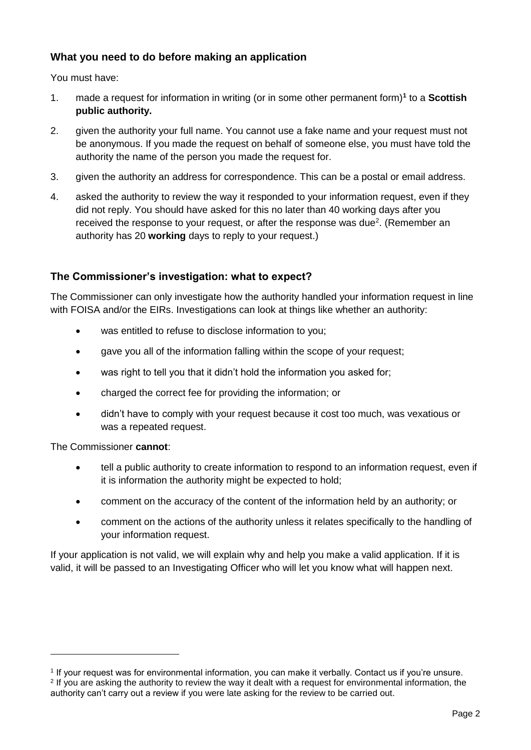#### **What you need to do before making an application**

You must have:

- 1. made a request for information in writing (or in some other permanent form)**<sup>1</sup>** to a **Scottish public authority.**
- 2. given the authority your full name. You cannot use a fake name and your request must not be anonymous. If you made the request on behalf of someone else, you must have told the authority the name of the person you made the request for.
- 3. given the authority an address for correspondence. This can be a postal or email address.
- 4. asked the authority to review the way it responded to your information request, even if they did not reply. You should have asked for this no later than 40 working days after you received the response to your request, or after the response was due<sup>2</sup>. (Remember an authority has 20 **working** days to reply to your request.)

#### **The Commissioner's investigation: what to expect?**

The Commissioner can only investigate how the authority handled your information request in line with FOISA and/or the EIRs. Investigations can look at things like whether an authority:

- was entitled to refuse to disclose information to you:
- gave you all of the information falling within the scope of your request;
- was right to tell you that it didn't hold the information you asked for;
- charged the correct fee for providing the information; or
- didn't have to comply with your request because it cost too much, was vexatious or was a repeated request.

The Commissioner **cannot**:

-

- tell a public authority to create information to respond to an information request, even if it is information the authority might be expected to hold;
- comment on the accuracy of the content of the information held by an authority; or
- comment on the actions of the authority unless it relates specifically to the handling of your information request.

If your application is not valid, we will explain why and help you make a valid application. If it is valid, it will be passed to an Investigating Officer who will let you know what will happen next.

<sup>1</sup> If your request was for environmental information, you can make it verbally. Contact us if you're unsure. 2 If you are asking the authority to review the way it dealt with a request for environmental information, the authority can't carry out a review if you were late asking for the review to be carried out.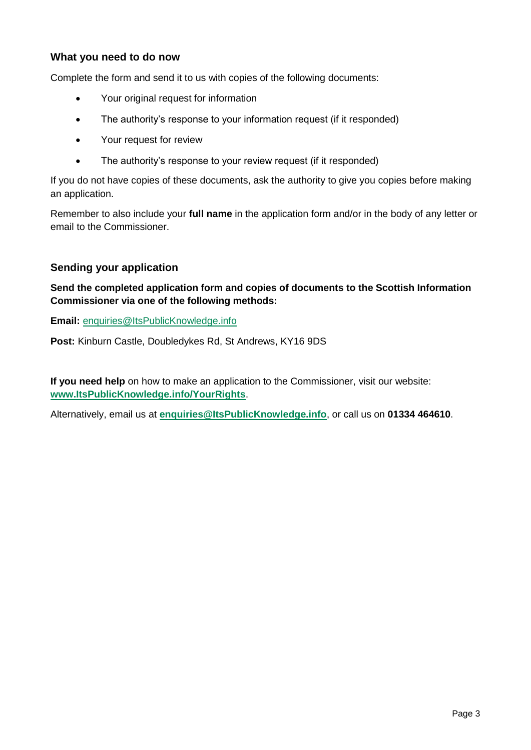#### **What you need to do now**

Complete the form and send it to us with copies of the following documents:

- Your original request for information
- The authority's response to your information request (if it responded)
- Your request for review
- The authority's response to your review request (if it responded)

If you do not have copies of these documents, ask the authority to give you copies before making an application.

Remember to also include your **full name** in the application form and/or in the body of any letter or email to the Commissioner.

#### **Sending your application**

**Send the completed application form and copies of documents to the Scottish Information Commissioner via one of the following methods:**

**Email:** [enquiries@ItsPublicKnowledge.info](mailto:enquiries@ItsPublicKnowledge.info)

**Post:** Kinburn Castle, Doubledykes Rd, St Andrews, KY16 9DS

**If you need help** on how to make an application to the Commissioner, visit our website: **[www.ItsPublicKnowledge.info/YourRights](http://www.itspublicknowledge.info/YourRights)**.

Alternatively, email us at **[enquiries@ItsPublicKnowledge.info](mailto:enquiries@ItsPublicKnowledge.info)**, or call us on **01334 464610**.